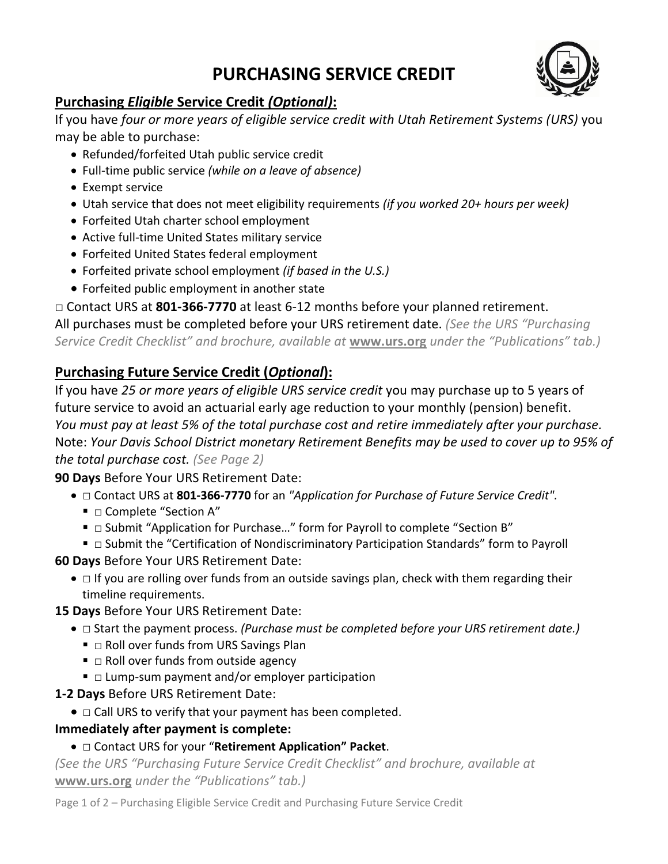# **PURCHASING SERVICE CREDIT**



## **Purchasing** *Eligible* **Service Credit** *(Optional)***:**

If you have *four or more years of eligible service credit with Utah Retirement Systems (URS)* you may be able to purchase:

- Refunded/forfeited Utah public service credit
- Full-time public service *(while on a leave of absence)*
- Exempt service
- Utah service that does not meet eligibility requirements *(if you worked 20+ hours per week)*
- Forfeited Utah charter school employment
- Active full-time United States military service
- Forfeited United States federal employment
- Forfeited private school employment *(if based in the U.S.)*
- Forfeited public employment in another state

□ Contact URS at **801-366-7770** at least 6-12 months before your planned retirement.

All purchases must be completed before your URS retirement date. *(See the URS "Purchasing Service Credit Checklist" and brochure, available at* **[www.urs.org](http://www.urs.org/)** *under the "Publications" tab.)*

## **Purchasing Future Service Credit (***Optional***):**

If you have *25 or more years of eligible URS service credit* you may purchase up to 5 years of future service to avoid an actuarial early age reduction to your monthly (pension) benefit. *You must pay at least 5% of the total purchase cost and retire immediately after your purchase.* Note: *Your Davis School District monetary Retirement Benefits may be used to cover up to 95% of the total purchase cost. (See Page 2)*

**90 Days** Before Your URS Retirement Date:

- □ Contact URS at **801-366-7770** for an *"Application for Purchase of Future Service Credit".*
	- □ Complete "Section A"
	- □ Submit "Application for Purchase..." form for Payroll to complete "Section B"
	- □ Submit the "Certification of Nondiscriminatory Participation Standards" form to Payroll
- **60 Days** Before Your URS Retirement Date:
	- □ If you are rolling over funds from an outside savings plan, check with them regarding their timeline requirements.
- **15 Days** Before Your URS Retirement Date:
	- □ Start the payment process. *(Purchase must be completed before your URS retirement date.)*
		- $\blacksquare$   $\Box$  Roll over funds from URS Savings Plan
		- $\blacksquare$   $\Box$  Roll over funds from outside agency
		- $\blacksquare$   $\square$  Lump-sum payment and/or employer participation
- **1-2 Days** Before URS Retirement Date:
	- $\bullet$   $\Box$  Call URS to verify that your payment has been completed.

### **Immediately after payment is complete:**

### □ Contact URS for your "**Retirement Application" Packet**.

*(See the URS "Purchasing Future Service Credit Checklist" and brochure, available at* **[www.urs.org](http://www.urs.org/)** *under the "Publications" tab.)*

Page 1 of 2 – Purchasing Eligible Service Credit and Purchasing Future Service Credit